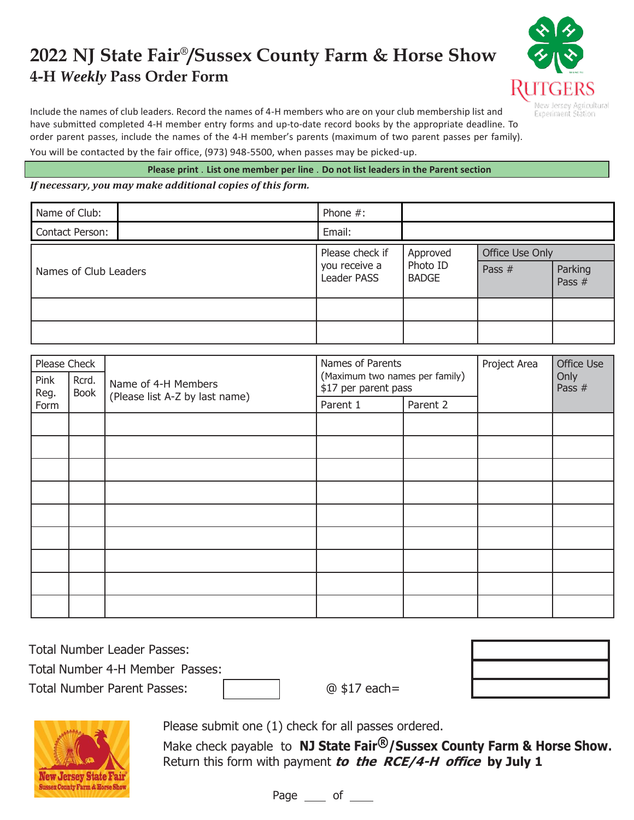## **2022 NJ State Fair® /Sussex County Farm & Horse Show 4-H** *Weekly* **Pass Order Form**



Include the names of club leaders. Record the names of 4-H members who are on your club membership list and have submitted completed 4-H member entry forms and up-to-date record books by the appropriate deadline. To order parent passes, include the names of the 4-H member's parents (maximum of two parent passes per family). You will be contacted by the fair office, (973) 948-5500, when passes may be picked-up.

**Please print** . **List one member per line** . **Do not list leaders in the Parent section**

*If necessary, you may make additional copies of this form.*

| Name of Club:         |  | Phone $#$ :                                     |                                      |                 |                   |
|-----------------------|--|-------------------------------------------------|--------------------------------------|-----------------|-------------------|
| Contact Person:       |  | Email:                                          |                                      |                 |                   |
| Names of Club Leaders |  | Please check if<br>you receive a<br>Leader PASS | Approved<br>Photo ID<br><b>BADGE</b> | Office Use Only |                   |
|                       |  |                                                 |                                      | Pass $#$        | Parking<br>Pass # |
|                       |  |                                                 |                                      |                 |                   |
|                       |  |                                                 |                                      |                 |                   |

| Please Check                  |                                | Names of Parents                                       |          | Project Area | Office Use<br>Only<br>Pass $#$ |  |
|-------------------------------|--------------------------------|--------------------------------------------------------|----------|--------------|--------------------------------|--|
| Pink<br>Rcrd.<br>Book<br>Reg. | Name of 4-H Members            | (Maximum two names per family)<br>\$17 per parent pass |          |              |                                |  |
| Form                          | (Please list A-Z by last name) | Parent 1                                               | Parent 2 |              |                                |  |
|                               |                                |                                                        |          |              |                                |  |
|                               |                                |                                                        |          |              |                                |  |
|                               |                                |                                                        |          |              |                                |  |
|                               |                                |                                                        |          |              |                                |  |
|                               |                                |                                                        |          |              |                                |  |
|                               |                                |                                                        |          |              |                                |  |
|                               |                                |                                                        |          |              |                                |  |
|                               |                                |                                                        |          |              |                                |  |
|                               |                                |                                                        |          |              |                                |  |

| <b>Total Number Leader Passes:</b> |                |  |
|------------------------------------|----------------|--|
| Total Number 4-H Member Passes:    |                |  |
| <b>Total Number Parent Passes:</b> | $@$ \$17 each= |  |



Please submit one (1) check for all passes ordered.

Make check payable to **NJ State Fair®/Sussex County Farm & Horse Show.** Return this form with payment **to the RCE/4-H office by July 1**

Page \_\_\_\_ of \_\_\_\_